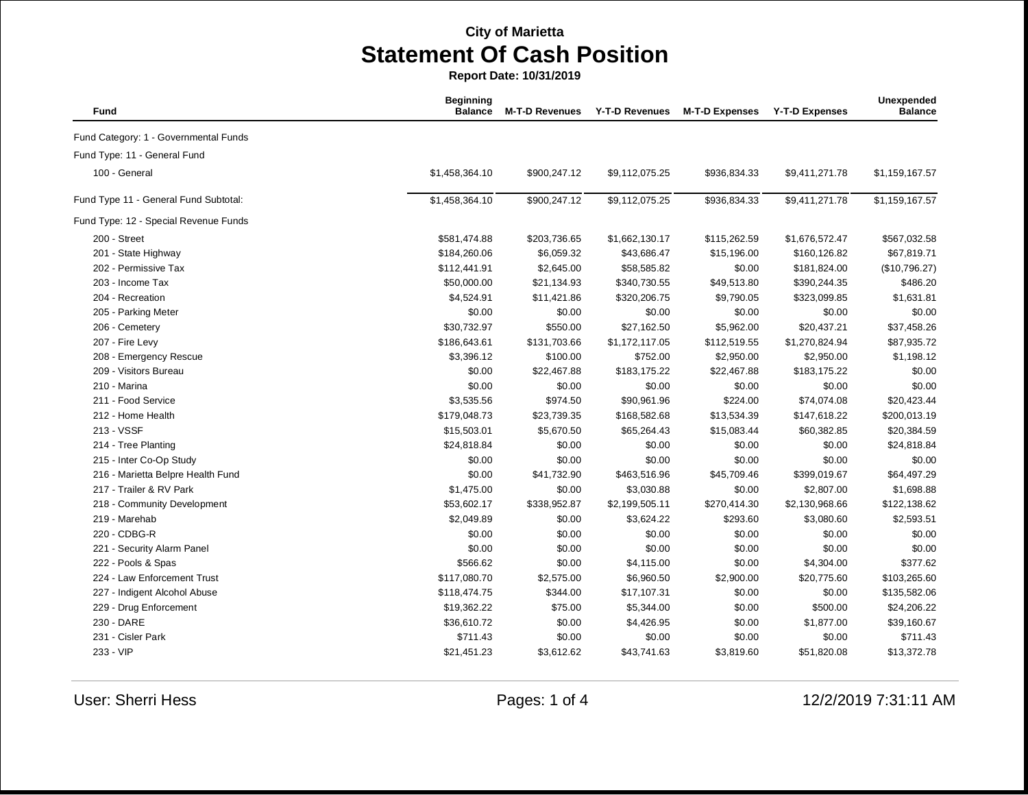| Fund                                  | <b>Beginning</b><br><b>Balance</b> | <b>M-T-D Revenues</b> | <b>Y-T-D Revenues</b> | <b>M-T-D Expenses</b> | <b>Y-T-D Expenses</b> | Unexpended<br><b>Balance</b> |
|---------------------------------------|------------------------------------|-----------------------|-----------------------|-----------------------|-----------------------|------------------------------|
| Fund Category: 1 - Governmental Funds |                                    |                       |                       |                       |                       |                              |
| Fund Type: 11 - General Fund          |                                    |                       |                       |                       |                       |                              |
| 100 - General                         | \$1,458,364.10                     | \$900,247.12          | \$9,112,075.25        | \$936,834.33          | \$9,411,271.78        | \$1,159,167.57               |
| Fund Type 11 - General Fund Subtotal: | \$1,458,364.10                     | \$900,247.12          | \$9,112,075.25        | \$936,834.33          | \$9,411,271.78        | \$1,159,167.57               |
| Fund Type: 12 - Special Revenue Funds |                                    |                       |                       |                       |                       |                              |
| 200 - Street                          | \$581,474.88                       | \$203,736.65          | \$1,662,130.17        | \$115,262.59          | \$1,676,572.47        | \$567,032.58                 |
| 201 - State Highway                   | \$184,260.06                       | \$6,059.32            | \$43,686.47           | \$15,196.00           | \$160,126.82          | \$67,819.71                  |
| 202 - Permissive Tax                  | \$112,441.91                       | \$2,645.00            | \$58,585.82           | \$0.00                | \$181,824.00          | (\$10,796.27)                |
| 203 - Income Tax                      | \$50,000.00                        | \$21,134.93           | \$340,730.55          | \$49,513.80           | \$390,244.35          | \$486.20                     |
| 204 - Recreation                      | \$4,524.91                         | \$11,421.86           | \$320,206.75          | \$9,790.05            | \$323,099.85          | \$1,631.81                   |
| 205 - Parking Meter                   | \$0.00                             | \$0.00                | \$0.00                | \$0.00                | \$0.00                | \$0.00                       |
| 206 - Cemetery                        | \$30,732.97                        | \$550.00              | \$27,162.50           | \$5,962.00            | \$20,437.21           | \$37,458.26                  |
| 207 - Fire Levy                       | \$186,643.61                       | \$131,703.66          | \$1,172,117.05        | \$112,519.55          | \$1,270,824.94        | \$87,935.72                  |
| 208 - Emergency Rescue                | \$3,396.12                         | \$100.00              | \$752.00              | \$2,950.00            | \$2,950.00            | \$1,198.12                   |
| 209 - Visitors Bureau                 | \$0.00                             | \$22,467.88           | \$183,175.22          | \$22,467.88           | \$183,175.22          | \$0.00                       |
| 210 - Marina                          | \$0.00                             | \$0.00                | \$0.00                | \$0.00                | \$0.00                | \$0.00                       |
| 211 - Food Service                    | \$3,535.56                         | \$974.50              | \$90,961.96           | \$224.00              | \$74,074.08           | \$20,423.44                  |
| 212 - Home Health                     | \$179,048.73                       | \$23,739.35           | \$168,582.68          | \$13,534.39           | \$147,618.22          | \$200,013.19                 |
| 213 - VSSF                            | \$15,503.01                        | \$5,670.50            | \$65,264.43           | \$15,083.44           | \$60,382.85           | \$20,384.59                  |
| 214 - Tree Planting                   | \$24,818.84                        | \$0.00                | \$0.00                | \$0.00                | \$0.00                | \$24,818.84                  |
| 215 - Inter Co-Op Study               | \$0.00                             | \$0.00                | \$0.00                | \$0.00                | \$0.00                | \$0.00                       |
| 216 - Marietta Belpre Health Fund     | \$0.00                             | \$41,732.90           | \$463,516.96          | \$45,709.46           | \$399,019.67          | \$64,497.29                  |
| 217 - Trailer & RV Park               | \$1,475.00                         | \$0.00                | \$3,030.88            | \$0.00                | \$2,807.00            | \$1,698.88                   |
| 218 - Community Development           | \$53,602.17                        | \$338,952.87          | \$2,199,505.11        | \$270,414.30          | \$2,130,968.66        | \$122,138.62                 |
| 219 - Marehab                         | \$2,049.89                         | \$0.00                | \$3,624.22            | \$293.60              | \$3,080.60            | \$2,593.51                   |
| 220 - CDBG-R                          | \$0.00                             | \$0.00                | \$0.00                | \$0.00                | \$0.00                | \$0.00                       |
| 221 - Security Alarm Panel            | \$0.00                             | \$0.00                | \$0.00                | \$0.00                | \$0.00                | \$0.00                       |
| 222 - Pools & Spas                    | \$566.62                           | \$0.00                | \$4,115.00            | \$0.00                | \$4,304.00            | \$377.62                     |
| 224 - Law Enforcement Trust           | \$117,080.70                       | \$2,575.00            | \$6,960.50            | \$2,900.00            | \$20,775.60           | \$103,265.60                 |
| 227 - Indigent Alcohol Abuse          | \$118,474.75                       | \$344.00              | \$17,107.31           | \$0.00                | \$0.00                | \$135,582.06                 |
| 229 - Drug Enforcement                | \$19,362.22                        | \$75.00               | \$5,344.00            | \$0.00                | \$500.00              | \$24,206.22                  |
| 230 - DARE                            | \$36,610.72                        | \$0.00                | \$4,426.95            | \$0.00                | \$1,877.00            | \$39,160.67                  |
| 231 - Cisler Park                     | \$711.43                           | \$0.00                | \$0.00                | \$0.00                | \$0.00                | \$711.43                     |
| 233 - VIP                             | \$21,451.23                        | \$3,612.62            | \$43,741.63           | \$3,819.60            | \$51,820.08           | \$13,372.78                  |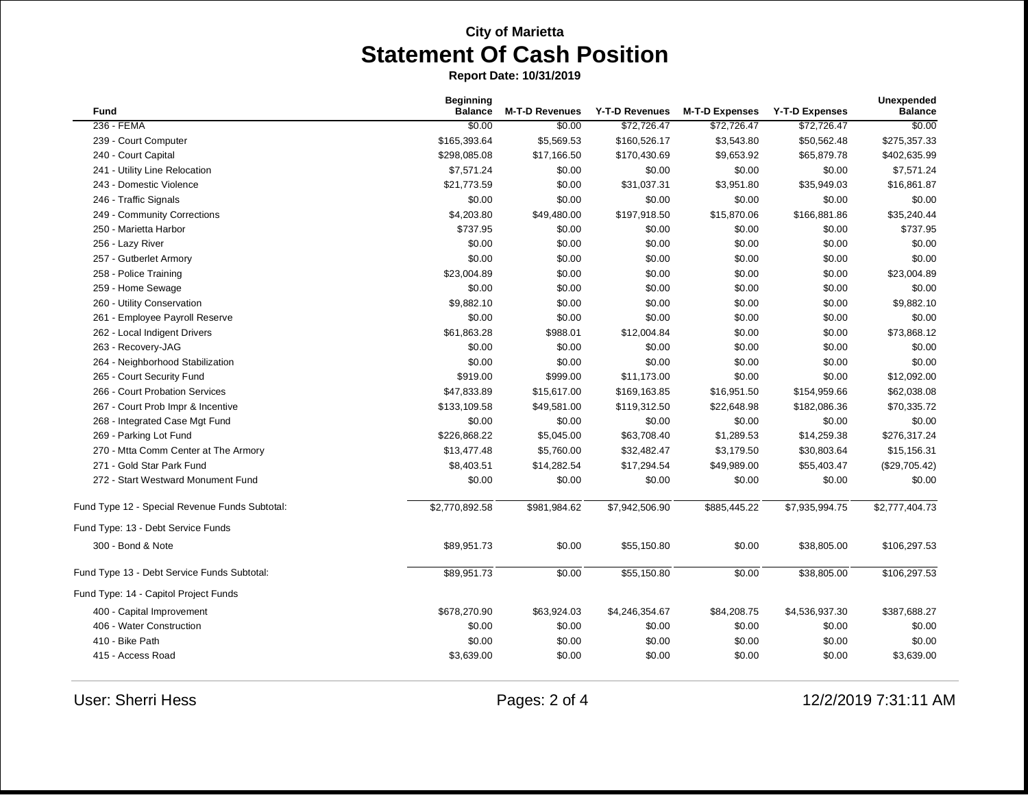| <b>Fund</b>                                    | <b>Beginning</b><br><b>Balance</b> | <b>M-T-D Revenues</b> | Y-T-D Revenues | <b>M-T-D Expenses</b> | <b>Y-T-D Expenses</b> | Unexpended<br><b>Balance</b> |
|------------------------------------------------|------------------------------------|-----------------------|----------------|-----------------------|-----------------------|------------------------------|
| 236 - FEMA                                     | \$0.00                             | \$0.00                | \$72,726.47    | \$72,726.47           | \$72,726.47           | \$0.00                       |
| 239 - Court Computer                           | \$165,393.64                       | \$5,569.53            | \$160,526.17   | \$3,543.80            | \$50,562.48           | \$275,357.33                 |
| 240 - Court Capital                            | \$298,085.08                       | \$17,166.50           | \$170,430.69   | \$9,653.92            | \$65,879.78           | \$402,635.99                 |
| 241 - Utility Line Relocation                  | \$7,571.24                         | \$0.00                | \$0.00         | \$0.00                | \$0.00                | \$7,571.24                   |
| 243 - Domestic Violence                        | \$21,773.59                        | \$0.00                | \$31,037.31    | \$3,951.80            | \$35,949.03           | \$16,861.87                  |
| 246 - Traffic Signals                          | \$0.00                             | \$0.00                | \$0.00         | \$0.00                | \$0.00                | \$0.00                       |
| 249 - Community Corrections                    | \$4,203.80                         | \$49,480.00           | \$197,918.50   | \$15,870.06           | \$166,881.86          | \$35,240.44                  |
| 250 - Marietta Harbor                          | \$737.95                           | \$0.00                | \$0.00         | \$0.00                | \$0.00                | \$737.95                     |
| 256 - Lazy River                               | \$0.00                             | \$0.00                | \$0.00         | \$0.00                | \$0.00                | \$0.00                       |
| 257 - Gutberlet Armory                         | \$0.00                             | \$0.00                | \$0.00         | \$0.00                | \$0.00                | \$0.00                       |
| 258 - Police Training                          | \$23,004.89                        | \$0.00                | \$0.00         | \$0.00                | \$0.00                | \$23,004.89                  |
| 259 - Home Sewage                              | \$0.00                             | \$0.00                | \$0.00         | \$0.00                | \$0.00                | \$0.00                       |
| 260 - Utility Conservation                     | \$9,882.10                         | \$0.00                | \$0.00         | \$0.00                | \$0.00                | \$9,882.10                   |
| 261 - Employee Payroll Reserve                 | \$0.00                             | \$0.00                | \$0.00         | \$0.00                | \$0.00                | \$0.00                       |
| 262 - Local Indigent Drivers                   | \$61,863.28                        | \$988.01              | \$12,004.84    | \$0.00                | \$0.00                | \$73,868.12                  |
| 263 - Recovery-JAG                             | \$0.00                             | \$0.00                | \$0.00         | \$0.00                | \$0.00                | \$0.00                       |
| 264 - Neighborhood Stabilization               | \$0.00                             | \$0.00                | \$0.00         | \$0.00                | \$0.00                | \$0.00                       |
| 265 - Court Security Fund                      | \$919.00                           | \$999.00              | \$11,173.00    | \$0.00                | \$0.00                | \$12,092.00                  |
| 266 - Court Probation Services                 | \$47,833.89                        | \$15,617.00           | \$169,163.85   | \$16,951.50           | \$154,959.66          | \$62,038.08                  |
| 267 - Court Prob Impr & Incentive              | \$133,109.58                       | \$49,581.00           | \$119,312.50   | \$22,648.98           | \$182,086.36          | \$70,335.72                  |
| 268 - Integrated Case Mgt Fund                 | \$0.00                             | \$0.00                | \$0.00         | \$0.00                | \$0.00                | \$0.00                       |
| 269 - Parking Lot Fund                         | \$226,868.22                       | \$5,045.00            | \$63,708.40    | \$1,289.53            | \$14,259.38           | \$276,317.24                 |
| 270 - Mtta Comm Center at The Armory           | \$13,477.48                        | \$5,760.00            | \$32,482.47    | \$3,179.50            | \$30,803.64           | \$15,156.31                  |
| 271 - Gold Star Park Fund                      | \$8,403.51                         | \$14,282.54           | \$17,294.54    | \$49,989.00           | \$55,403.47           | (\$29,705.42)                |
| 272 - Start Westward Monument Fund             | \$0.00                             | \$0.00                | \$0.00         | \$0.00                | \$0.00                | \$0.00                       |
| Fund Type 12 - Special Revenue Funds Subtotal: | \$2,770,892.58                     | \$981,984.62          | \$7,942,506.90 | \$885,445.22          | \$7,935,994.75        | \$2,777,404.73               |
| Fund Type: 13 - Debt Service Funds             |                                    |                       |                |                       |                       |                              |
| 300 - Bond & Note                              | \$89,951.73                        | \$0.00                | \$55,150.80    | \$0.00                | \$38,805.00           | \$106,297.53                 |
| Fund Type 13 - Debt Service Funds Subtotal:    | \$89,951.73                        | \$0.00                | \$55,150.80    | \$0.00                | \$38,805.00           | \$106,297.53                 |
| Fund Type: 14 - Capitol Project Funds          |                                    |                       |                |                       |                       |                              |
| 400 - Capital Improvement                      | \$678,270.90                       | \$63,924.03           | \$4,246,354.67 | \$84,208.75           | \$4,536,937.30        | \$387,688.27                 |
| 406 - Water Construction                       | \$0.00                             | \$0.00                | \$0.00         | \$0.00                | \$0.00                | \$0.00                       |
| 410 - Bike Path                                | \$0.00                             | \$0.00                | \$0.00         | \$0.00                | \$0.00                | \$0.00                       |
| 415 - Access Road                              | \$3,639.00                         | \$0.00                | \$0.00         | \$0.00                | \$0.00                | \$3,639.00                   |
|                                                |                                    |                       |                |                       |                       |                              |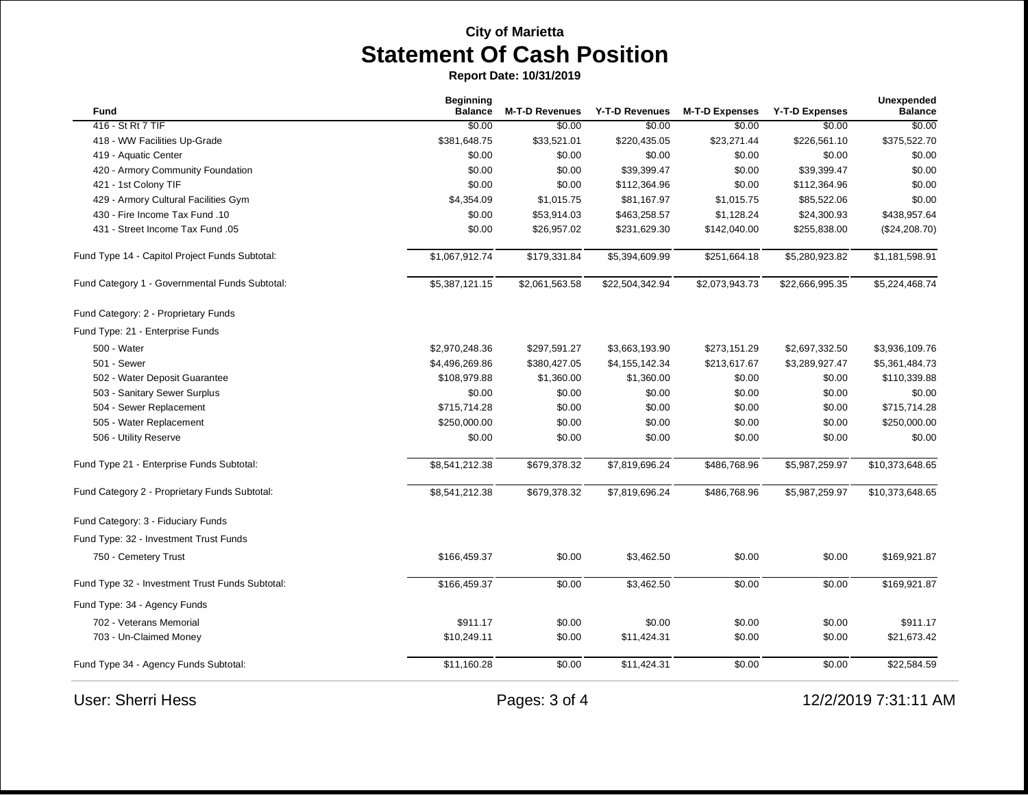| Fund                                            | <b>Beginning</b><br><b>Balance</b> | <b>M-T-D Revenues</b> | Y-T-D Revenues  | <b>M-T-D Expenses</b> | <b>Y-T-D Expenses</b> | Unexpended<br><b>Balance</b> |
|-------------------------------------------------|------------------------------------|-----------------------|-----------------|-----------------------|-----------------------|------------------------------|
| 416 - St Rt 7 TIF                               | \$0.00                             | \$0.00                | \$0.00          | \$0.00                | \$0.00                | \$0.00                       |
| 418 - WW Facilities Up-Grade                    | \$381,648.75                       | \$33,521.01           | \$220,435.05    | \$23,271.44           | \$226,561.10          | \$375,522.70                 |
| 419 - Aquatic Center                            | \$0.00                             | \$0.00                | \$0.00          | \$0.00                | \$0.00                | \$0.00                       |
| 420 - Armory Community Foundation               | \$0.00                             | \$0.00                | \$39,399.47     | \$0.00                | \$39,399.47           | \$0.00                       |
| 421 - 1st Colony TIF                            | \$0.00                             | \$0.00                | \$112,364.96    | \$0.00                | \$112,364.96          | \$0.00                       |
| 429 - Armory Cultural Facilities Gym            | \$4,354.09                         | \$1,015.75            | \$81,167.97     | \$1,015.75            | \$85,522.06           | \$0.00                       |
| 430 - Fire Income Tax Fund .10                  | \$0.00                             | \$53,914.03           | \$463,258.57    | \$1,128.24            | \$24,300.93           | \$438,957.64                 |
| 431 - Street Income Tax Fund .05                | \$0.00                             | \$26,957.02           | \$231,629.30    | \$142,040.00          | \$255,838.00          | (\$24,208.70)                |
| Fund Type 14 - Capitol Project Funds Subtotal:  | \$1,067,912.74                     | \$179,331.84          | \$5,394,609.99  | \$251,664.18          | \$5,280,923.82        | \$1,181,598.91               |
| Fund Category 1 - Governmental Funds Subtotal:  | \$5,387,121.15                     | \$2,061,563.58        | \$22,504,342.94 | \$2,073,943.73        | \$22,666,995.35       | \$5,224,468.74               |
| Fund Category: 2 - Proprietary Funds            |                                    |                       |                 |                       |                       |                              |
| Fund Type: 21 - Enterprise Funds                |                                    |                       |                 |                       |                       |                              |
| 500 - Water                                     | \$2,970,248.36                     | \$297,591.27          | \$3,663,193.90  | \$273,151.29          | \$2,697,332.50        | \$3,936,109.76               |
| 501 - Sewer                                     | \$4,496,269.86                     | \$380,427.05          | \$4,155,142.34  | \$213,617.67          | \$3,289,927.47        | \$5,361,484.73               |
| 502 - Water Deposit Guarantee                   | \$108,979.88                       | \$1,360.00            | \$1,360.00      | \$0.00                | \$0.00                | \$110,339.88                 |
| 503 - Sanitary Sewer Surplus                    | \$0.00                             | \$0.00                | \$0.00          | \$0.00                | \$0.00                | \$0.00                       |
| 504 - Sewer Replacement                         | \$715,714.28                       | \$0.00                | \$0.00          | \$0.00                | \$0.00                | \$715,714.28                 |
| 505 - Water Replacement                         | \$250,000.00                       | \$0.00                | \$0.00          | \$0.00                | \$0.00                | \$250,000.00                 |
| 506 - Utility Reserve                           | \$0.00                             | \$0.00                | \$0.00          | \$0.00                | \$0.00                | \$0.00                       |
| Fund Type 21 - Enterprise Funds Subtotal:       | \$8,541,212.38                     | \$679,378.32          | \$7,819,696.24  | \$486,768.96          | \$5,987,259.97        | \$10,373,648.65              |
| Fund Category 2 - Proprietary Funds Subtotal:   | \$8,541,212.38                     | \$679,378.32          | \$7,819,696.24  | \$486,768.96          | \$5,987,259.97        | \$10,373,648.65              |
| Fund Category: 3 - Fiduciary Funds              |                                    |                       |                 |                       |                       |                              |
| Fund Type: 32 - Investment Trust Funds          |                                    |                       |                 |                       |                       |                              |
| 750 - Cemetery Trust                            | \$166,459.37                       | \$0.00                | \$3,462.50      | \$0.00                | \$0.00                | \$169,921.87                 |
| Fund Type 32 - Investment Trust Funds Subtotal: | \$166,459.37                       | \$0.00                | \$3,462.50      | \$0.00                | \$0.00                | \$169,921.87                 |
| Fund Type: 34 - Agency Funds                    |                                    |                       |                 |                       |                       |                              |
| 702 - Veterans Memorial                         | \$911.17                           | \$0.00                | \$0.00          | \$0.00                | \$0.00                | \$911.17                     |
| 703 - Un-Claimed Money                          | \$10,249.11                        | \$0.00                | \$11,424.31     | \$0.00                | \$0.00                | \$21,673.42                  |
| Fund Type 34 - Agency Funds Subtotal:           | \$11,160.28                        | \$0.00                | \$11,424.31     | \$0.00                | \$0.00                | \$22,584.59                  |
| <b>User: Sherri Hess</b>                        |                                    | Pages: 3 of 4         |                 |                       |                       | 12/2/2019 7:31:11 AM         |